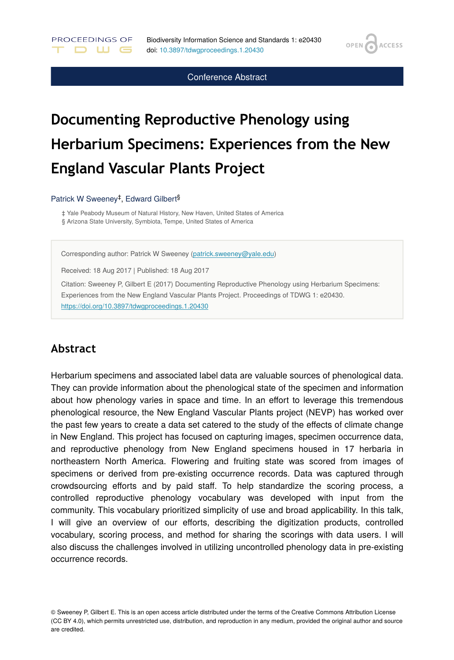**OPEN** 

**ACCESS** 

Conference Abstract

# **Documenting Reproductive Phenology using Herbarium Specimens: Experiences from the New England Vascular Plants Project**

#### Patrick W Sweeney<sup>‡</sup>, Edward Gilbert<sup>§</sup>

PROCEEDINGS OF

**DUG** 

‡ Yale Peabody Museum of Natural History, New Haven, United States of America § Arizona State University, Symbiota, Tempe, United States of America

Corresponding author: Patrick W Sweeney ([patrick.sweeney@yale.edu](mailto:patrick.sweeney@yale.edu))

Received: 18 Aug 2017 | Published: 18 Aug 2017

Citation: Sweeney P, Gilbert E (2017) Documenting Reproductive Phenology using Herbarium Specimens: Experiences from the New England Vascular Plants Project. Proceedings of TDWG 1: e20430. <https://doi.org/10.3897/tdwgproceedings.1.20430>

#### **Abstract**

Herbarium specimens and associated label data are valuable sources of phenological data. They can provide information about the phenological state of the specimen and information about how phenology varies in space and time. In an effort to leverage this tremendous phenological resource, the New England Vascular Plants project (NEVP) has worked over the past few years to create a data set catered to the study of the effects of climate change in New England. This project has focused on capturing images, specimen occurrence data, and reproductive phenology from New England specimens housed in 17 herbaria in northeastern North America. Flowering and fruiting state was scored from images of specimens or derived from pre-existing occurrence records. Data was captured through crowdsourcing efforts and by paid staff. To help standardize the scoring process, a controlled reproductive phenology vocabulary was developed with input from the community. This vocabulary prioritized simplicity of use and broad applicability. In this talk, I will give an overview of our efforts, describing the digitization products, controlled vocabulary, scoring process, and method for sharing the scorings with data users. I will also discuss the challenges involved in utilizing uncontrolled phenology data in pre-existing occurrence records.

© Sweeney P, Gilbert E. This is an open access article distributed under the terms of the Creative Commons Attribution License (CC BY 4.0), which permits unrestricted use, distribution, and reproduction in any medium, provided the original author and source are credited.